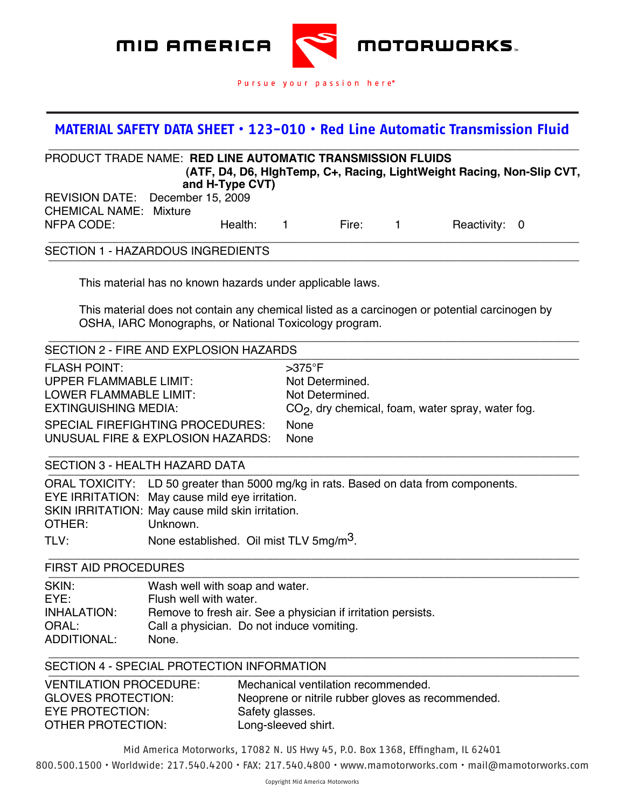

## **MATERIAL SAFETY DATA SHEET • 123-010 • Red Line Automatic Transmission Fluid MATERIAL SAFETY DATA SHEET**

(707)745-6100

| <b>PRODUCT TRADE NAME: RED LINE AUTOMATIC TRANSMISSION FLUIDS</b><br>(ATF, D4, D6, HighTemp, C+, Racing, LightWeight Racing, Non-Slip CVT,              |                                                                                                                       |       |                  |               |  |
|---------------------------------------------------------------------------------------------------------------------------------------------------------|-----------------------------------------------------------------------------------------------------------------------|-------|------------------|---------------|--|
| and H-Type CVT)                                                                                                                                         |                                                                                                                       |       |                  |               |  |
| REVISION DATE: December 15, 2009                                                                                                                        |                                                                                                                       |       |                  |               |  |
| <b>CHEMICAL NAME: Mixture</b>                                                                                                                           |                                                                                                                       |       |                  |               |  |
| NFPA CODE:<br>Health:                                                                                                                                   | $\mathbf{1}$                                                                                                          | Fire: | $\blacksquare$ 1 | Reactivity: 0 |  |
| <b>SECTION 1 - HAZARDOUS INGREDIENTS</b>                                                                                                                |                                                                                                                       |       |                  |               |  |
| This material has no known hazards under applicable laws.                                                                                               |                                                                                                                       |       |                  |               |  |
| This material does not contain any chemical listed as a carcinogen or potential carcinogen by<br>OSHA, IARC Monographs, or National Toxicology program. |                                                                                                                       |       |                  |               |  |
| SECTION 2 - FIRE AND EXPLOSION HAZARDS                                                                                                                  |                                                                                                                       |       |                  |               |  |
| <b>FLASH POINT:</b><br><b>UPPER FLAMMABLE LIMIT:</b><br><b>LOWER FLAMMABLE LIMIT:</b><br><b>EXTINGUISHING MEDIA:</b>                                    | $>375^\circ$ F<br>Not Determined.<br>Not Determined.<br>CO <sub>2</sub> , dry chemical, foam, water spray, water fog. |       |                  |               |  |
| <b>SPECIAL FIREFIGHTING PROCEDURES:</b><br>UNUSUAL FIRE & EXPLOSION HAZARDS:                                                                            | None<br>None                                                                                                          |       |                  |               |  |
| SECTION 3 - HEALTH HAZARD DATA                                                                                                                          |                                                                                                                       |       |                  |               |  |
| ORAL TOXICITY: LD 50 greater than 5000 mg/kg in rats. Based on data from components.<br>EYE IRRITATION: May cause mild eye irritation.                  |                                                                                                                       |       |                  |               |  |

SKIN IRRITATION: May cause mild skin irritation.<br>OTHER: Unknown.

Unknown.

TLV: None established. Oil mist TLV 5mg/m<sup>3</sup>.

## \_\_\_\_\_\_\_\_\_\_\_\_\_\_\_\_\_\_\_\_\_\_\_\_\_\_\_\_\_\_\_\_\_\_\_\_\_\_\_\_\_\_\_\_\_\_\_\_\_\_\_\_\_\_\_\_\_\_\_\_\_\_\_\_\_\_\_\_\_\_\_\_\_\_\_\_\_\_\_\_\_\_\_ FIRST AID PROCEDURES

| SKIN:       | Wash well with soap and water.                               |
|-------------|--------------------------------------------------------------|
| EYE:        | Flush well with water.                                       |
| INHALATION: | Remove to fresh air. See a physician if irritation persists. |
| ORAL:       | Call a physician. Do not induce vomiting.                    |
| ADDITIONAL: | None.                                                        |

SECTION 4 - SPECIAL PROTECTION INFORMATION

| <b>VENTILATION PROCEDURE:</b> | Mechanical ventilation recommended.               |
|-------------------------------|---------------------------------------------------|
| <b>GLOVES PROTECTION:</b>     | Neoprene or nitrile rubber gloves as recommended. |
| EYE PROTECTION:               | Safety glasses.                                   |
| OTHER PROTECTION:             | Long-sleeved shirt.                               |

Mid America Motorworks, 17082 N. US Hwy 45, P.O. Box 1368, Effingham, IL 62401 Page 1800.500.1500 • Worldwide: 217.540.4200 • FAX: 217.540.4800 • www.mamotorworks.com • mail@mamotorworks.com

\_\_\_\_\_\_\_\_\_\_\_\_\_\_\_\_\_\_\_\_\_\_\_\_\_\_\_\_\_\_\_\_\_\_\_\_\_\_\_\_\_\_\_\_\_\_\_\_\_\_\_\_\_\_\_\_\_\_\_\_\_\_\_\_\_\_\_\_\_\_\_\_\_\_\_\_\_\_\_\_\_\_\_